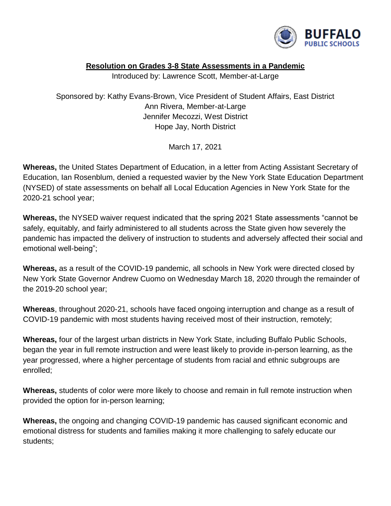

## **Resolution on Grades 3-8 State Assessments in a Pandemic**

Introduced by: Lawrence Scott, Member-at-Large

Sponsored by: Kathy Evans-Brown, Vice President of Student Affairs, East District Ann Rivera, Member-at-Large Jennifer Mecozzi, West District Hope Jay, North District

March 17, 2021

**Whereas,** the United States Department of Education, in a letter from Acting Assistant Secretary of Education, Ian Rosenblum, denied a requested wavier by the New York State Education Department (NYSED) of state assessments on behalf all Local Education Agencies in New York State for the 2020-21 school year;

**Whereas,** the NYSED waiver request indicated that the spring 2021 State assessments "cannot be safely, equitably, and fairly administered to all students across the State given how severely the pandemic has impacted the delivery of instruction to students and adversely affected their social and emotional well-being";

**Whereas,** as a result of the COVID-19 pandemic, all schools in New York were directed closed by New York State Governor Andrew Cuomo on Wednesday March 18, 2020 through the remainder of the 2019-20 school year;

**Whereas**, throughout 2020-21, schools have faced ongoing interruption and change as a result of COVID-19 pandemic with most students having received most of their instruction, remotely;

**Whereas,** four of the largest urban districts in New York State, including Buffalo Public Schools, began the year in full remote instruction and were least likely to provide in-person learning, as the year progressed, where a higher percentage of students from racial and ethnic subgroups are enrolled;

**Whereas,** students of color were more likely to choose and remain in full remote instruction when provided the option for in-person learning;

**Whereas,** the ongoing and changing COVID-19 pandemic has caused significant economic and emotional distress for students and families making it more challenging to safely educate our students;